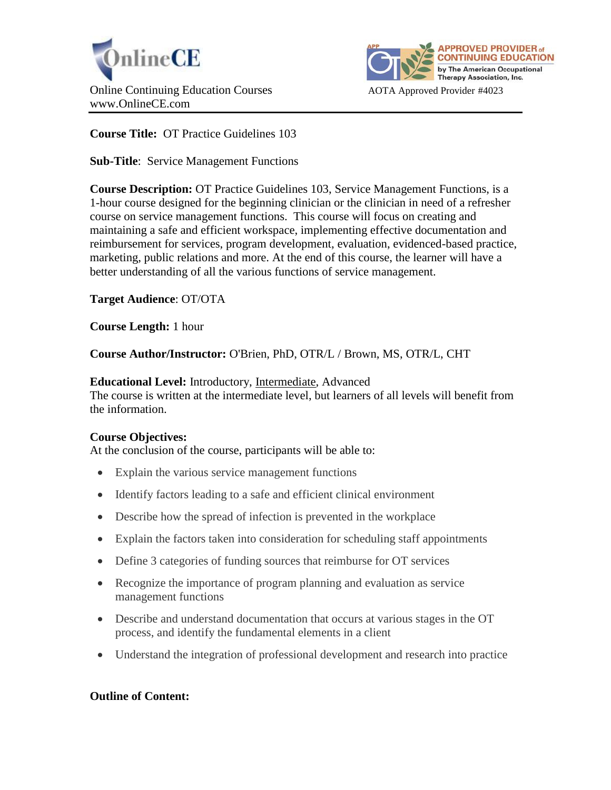



**Course Title:** OT Practice Guidelines 103

**Sub-Title**: Service Management Functions

**Course Description:** OT Practice Guidelines 103, Service Management Functions, is a 1-hour course designed for the beginning clinician or the clinician in need of a refresher course on service management functions. This course will focus on creating and maintaining a safe and efficient workspace, implementing effective documentation and reimbursement for services, program development, evaluation, evidenced-based practice, marketing, public relations and more. At the end of this course, the learner will have a better understanding of all the various functions of service management.

**Target Audience**: OT/OTA

**Course Length:** 1 hour

**Course Author/Instructor:** O'Brien, PhD, OTR/L / Brown, MS, OTR/L, CHT

**Educational Level:** Introductory, Intermediate, Advanced The course is written at the intermediate level, but learners of all levels will benefit from the information.

# **Course Objectives:**

At the conclusion of the course, participants will be able to:

- Explain the various service management functions
- Identify factors leading to a safe and efficient clinical environment
- Describe how the spread of infection is prevented in the workplace
- Explain the factors taken into consideration for scheduling staff appointments
- Define 3 categories of funding sources that reimburse for OT services
- Recognize the importance of program planning and evaluation as service management functions
- Describe and understand documentation that occurs at various stages in the OT process, and identify the fundamental elements in a client
- Understand the integration of professional development and research into practice

# **Outline of Content:**